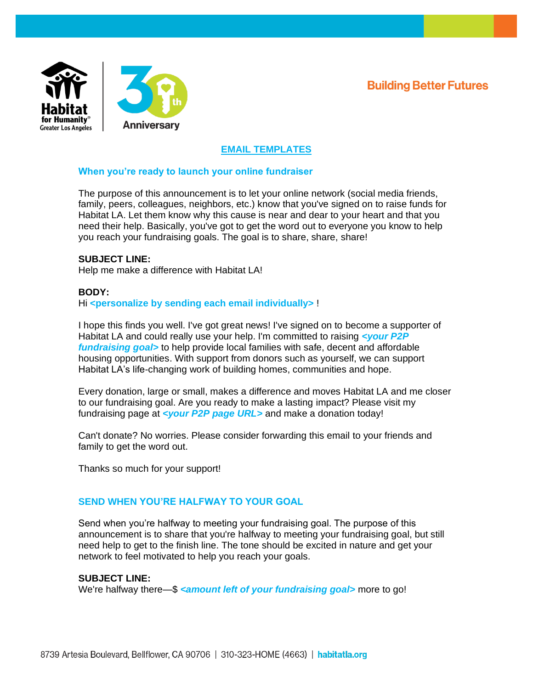**Building Better Futures** 



# **EMAIL TEMPLATES**

### **When you're ready to launch your online fundraiser**

The purpose of this announcement is to let your online network (social media friends, family, peers, colleagues, neighbors, etc.) know that you've signed on to raise funds for Habitat LA. Let them know why this cause is near and dear to your heart and that you need their help. Basically, you've got to get the word out to everyone you know to help you reach your fundraising goals. The goal is to share, share, share!

#### **SUBJECT LINE:**

Help me make a difference with Habitat LA!

#### **BODY:**

Hi **<personalize by sending each email individually>** !

I hope this finds you well. I've got great news! I've signed on to become a supporter of Habitat LA and could really use your help. I'm committed to raising *<your P2P fundraising goal>* to help provide local families with safe, decent and affordable housing opportunities. With support from donors such as yourself, we can support Habitat LA's life-changing work of building homes, communities and hope.

Every donation, large or small, makes a difference and moves Habitat LA and me closer to our fundraising goal. Are you ready to make a lasting impact? Please visit my fundraising page at *<your P2P page URL>* and make a donation today!

Can't donate? No worries. Please consider forwarding this email to your friends and family to get the word out.

Thanks so much for your support!

#### **SEND WHEN YOU'RE HALFWAY TO YOUR GOAL**

Send when you're halfway to meeting your fundraising goal. The purpose of this announcement is to share that you're halfway to meeting your fundraising goal, but still need help to get to the finish line. The tone should be excited in nature and get your network to feel motivated to help you reach your goals.

#### **SUBJECT LINE:**

We're halfway there—\$ *<amount left of your fundraising goal*> more to go!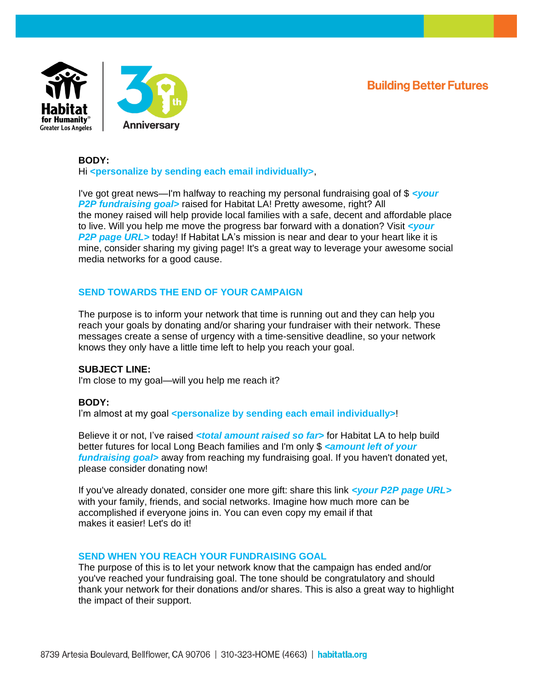**Building Better Futures** 



## **BODY:** Hi **<personalize by sending each email individually>**,

I've got great news—I'm halfway to reaching my personal fundraising goal of \$ *<your P2P fundraising goal>* raised for Habitat LA! Pretty awesome, right? All the money raised will help provide local families with a safe, decent and affordable place to live. Will you help me move the progress bar forward with a donation? Visit *<your P2P page URL* > today! If Habitat LA's mission is near and dear to your heart like it is mine, consider sharing my giving page! It's a great way to leverage your awesome social media networks for a good cause.

## **SEND TOWARDS THE END OF YOUR CAMPAIGN**

The purpose is to inform your network that time is running out and they can help you reach your goals by donating and/or sharing your fundraiser with their network. These messages create a sense of urgency with a time-sensitive deadline, so your network knows they only have a little time left to help you reach your goal.

#### **SUBJECT LINE:**

I'm close to my goal—will you help me reach it?

#### **BODY:**

I'm almost at my goal **<personalize by sending each email individually>**!

Believe it or not, I've raised <total amount raised so far> for Habitat LA to help build better futures for local Long Beach families and I'm only \$ *<amount left of your fundraising goal>* away from reaching my fundraising goal. If you haven't donated yet, please consider donating now!

If you've already donated, consider one more gift: share this link *<your P2P page URL>* with your family, friends, and social networks. Imagine how much more can be accomplished if everyone joins in. You can even copy my email if that makes it easier! Let's do it!

#### **SEND WHEN YOU REACH YOUR FUNDRAISING GOAL**

The purpose of this is to let your network know that the campaign has ended and/or you've reached your fundraising goal. The tone should be congratulatory and should thank your network for their donations and/or shares. This is also a great way to highlight the impact of their support.